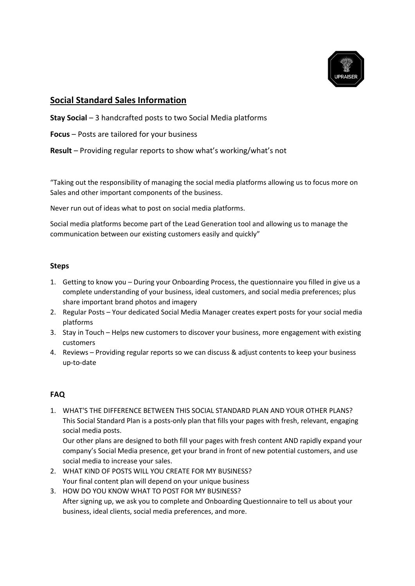

## **Social Standard Sales Information**

- **Stay Social** 3 handcrafted posts to two Social Media platforms
- **Focus** Posts are tailored for your business
- **Result** Providing regular reports to show what's working/what's not

"Taking out the responsibility of managing the social media platforms allowing us to focus more on Sales and other important components of the business.

Never run out of ideas what to post on social media platforms.

Social media platforms become part of the Lead Generation tool and allowing us to manage the communication between our existing customers easily and quickly"

## **Steps**

- 1. Getting to know you During your Onboarding Process, the questionnaire you filled in give us a complete understanding of your business, ideal customers, and social media preferences; plus share important brand photos and imagery
- 2. Regular Posts Your dedicated Social Media Manager creates expert posts for your social media platforms
- 3. Stay in Touch Helps new customers to discover your business, more engagement with existing customers
- 4. Reviews Providing regular reports so we can discuss & adjust contents to keep your business up-to-date

## **FAQ**

1. WHAT'S THE DIFFERENCE BETWEEN THIS SOCIAL STANDARD PLAN AND YOUR OTHER PLANS? This Social Standard Plan is a posts-only plan that fills your pages with fresh, relevant, engaging social media posts.

Our other plans are designed to both fill your pages with fresh content AND rapidly expand your company's Social Media presence, get your brand in front of new potential customers, and use social media to increase your sales.

- 2. WHAT KIND OF POSTS WILL YOU CREATE FOR MY BUSINESS? Your final content plan will depend on your unique business
- 3. HOW DO YOU KNOW WHAT TO POST FOR MY BUSINESS? After signing up, we ask you to complete and Onboarding Questionnaire to tell us about your business, ideal clients, social media preferences, and more.